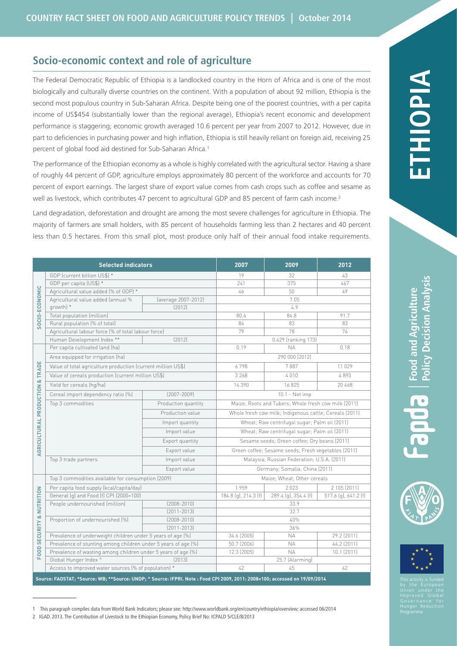# **Socio-economic context and role of agriculture**

The Federal Democratic Republic of Ethiopia is a landlocked country in the Horn of Africa and is one of the most biologically and culturally diverse countries on the continent. With a population of about 92 million, Ethiopia is the second most populous country in Sub-Saharan Africa. Despite being one of the poorest countries, with a per capita income of US\$454 (substantially lower than the regional average), Ethiopia's recent economic and development performance is staggering; economic growth averaged 10.6 percent per year from 2007 to 2012. However, due in part to deficiencies in purchasing power and high inflation, Ethiopia is still heavily reliant on foreign aid, receiving 25 percent of global food aid destined for Sub-Saharan Africa.1

The performance of the Ethiopian economy as a whole is highly correlated with the agricultural sector. Having a share of roughly 44 percent of GDP, agriculture employs approximately 80 percent of the workforce and accounts for 70 percent of export earnings. The largest share of export value comes from cash crops such as coffee and sesame as well as livestock, which contributes 47 percent to agricultural GDP and 85 percent of farm cash income.<sup>2</sup>

Land degradation, deforestation and drought are among the most severe challenges for agriculture in Ethiopia. The majority of farmers are small holders, with 85 percent of households farming less than 2 hectares and 40 percent less than 0.5 hectares. From this small plot, most produce only half of their annual food intake requirements.

| <b>Selected indicators</b>                                                                                                  |                                                                |                     | 2007                                                    | 2009                 | 2012                 |  |
|-----------------------------------------------------------------------------------------------------------------------------|----------------------------------------------------------------|---------------------|---------------------------------------------------------|----------------------|----------------------|--|
| SOCIO-ECONOMIC                                                                                                              | GDP (current billion US\$) *                                   |                     | 19                                                      | 32                   | 43                   |  |
|                                                                                                                             | GDP per capita (US\$) *                                        |                     | 241                                                     | 375                  | 467                  |  |
|                                                                                                                             | Agricultural value added (% of GDP) *                          |                     | 46                                                      | 50                   | 49                   |  |
|                                                                                                                             | Agricultural value added (annual %                             | (average 2007-2012) | 7.05                                                    |                      |                      |  |
|                                                                                                                             | growth) *                                                      | [2012]              |                                                         | 4.9                  |                      |  |
|                                                                                                                             | Total population (million)                                     |                     | 80.4                                                    | 84.8                 | 91.7                 |  |
|                                                                                                                             | Rural population (% of total)                                  |                     | 84                                                      | 83                   | 83                   |  |
|                                                                                                                             | Agricultural labour force (% of total labour force)            |                     | 79                                                      | 78                   | 76                   |  |
|                                                                                                                             | Human Development Index **                                     | [2012]              |                                                         | 0.429 (ranking 173)  |                      |  |
| <b>AGRICULTURAL PRODUCTION &amp; TRADE</b>                                                                                  | Per capita cultivated land (ha)                                |                     | 0.19                                                    | <b>NA</b>            | 0.18                 |  |
|                                                                                                                             | Area equipped for irrigation (ha)                              |                     | 290 000 (2012)                                          |                      |                      |  |
|                                                                                                                             | Value of total agriculture production (current million US\$)   |                     | 6798                                                    | 7887                 | 11 029               |  |
|                                                                                                                             | Value of cereals production (current million US\$)             |                     | 3 2 6 8                                                 | 4010                 | 4893                 |  |
|                                                                                                                             | Yield for cereals (hq/ha)                                      |                     | 14 390                                                  | 16825                | 20 468               |  |
|                                                                                                                             | Cereal import dependency ratio [%]                             | $[2007 - 2009]$     |                                                         | 10.1 - Net imp       |                      |  |
|                                                                                                                             | Top 3 commodities                                              | Production quantity | Maize; Roots and Tubers; Whole fresh cow milk (2011)    |                      |                      |  |
|                                                                                                                             |                                                                | Production value    | Whole fresh cow milk; Indigenous cattle; Cereals (2011) |                      |                      |  |
|                                                                                                                             |                                                                | Import quantity     | Wheat; Raw centrifugal sugar; Palm oil (2011)           |                      |                      |  |
|                                                                                                                             |                                                                | Import value        | Wheat; Raw centrifugal sugar; Palm oil (2011)           |                      |                      |  |
|                                                                                                                             |                                                                | Export quantity     | Sesame seeds; Green coffee; Dry beans (2011)            |                      |                      |  |
|                                                                                                                             |                                                                | Export value        | Green coffee; Sesame seeds; Fresh vegetables (2011)     |                      |                      |  |
|                                                                                                                             | Top 3 trade partners                                           | Import value        | Malaysia; Russian Federation; U.S.A. (2011)             |                      |                      |  |
|                                                                                                                             |                                                                | Export value        | Germany; Somalia; China (2011)                          |                      |                      |  |
| FOOD SECURITY & NUTRITION                                                                                                   | Top 3 commodities available for consumption (2009)             |                     | Maize; Wheat; Other cereals                             |                      |                      |  |
|                                                                                                                             | Per capita food supply (kcal/capita/day)                       |                     | 1959                                                    | 2023                 | 2 105 (2011)         |  |
|                                                                                                                             | General (g) and Food (f) CPI (2000=100)                        |                     | 184.8 (q), 214.3 (f)                                    | 289.4 (g), 354.4 (f) | 517.6 (g), 641.2 (f) |  |
|                                                                                                                             | People undernourished (million)                                | $[2008 - 2010]$     | 33.9                                                    |                      |                      |  |
|                                                                                                                             |                                                                | $[2011 - 2013]$     | 32.7                                                    |                      |                      |  |
|                                                                                                                             | Proportion of undernourished (%)                               | $(2008 - 2010)$     |                                                         | 40%                  |                      |  |
|                                                                                                                             |                                                                | $[2011 - 2013]$     | 36%                                                     |                      |                      |  |
|                                                                                                                             | Prevalence of underweight children under 5 years of age (%)    |                     | 34.6 (2005)                                             | <b>NA</b>            | 29.2 (2011)          |  |
|                                                                                                                             | Prevalence of stunting among children under 5 years of age (%) |                     | 50.7 (2006)                                             | <b>NA</b>            | 44.2 (2011)          |  |
|                                                                                                                             | Prevalence of wasting among children under 5 years of age (%)  |                     | 12.3 (2005)                                             | <b>NA</b>            | 10.1 (2011)          |  |
|                                                                                                                             | Global Hunger Index ^                                          | [2013]              | 25.7 (Alarming)                                         |                      |                      |  |
|                                                                                                                             | Access to improved water sources (% of population) *           |                     | 42                                                      | 45                   | 42                   |  |
| Source: FAOSTAT; *Source: WB; **Source: UNDP; ^ Source: IFPRI. Note : Food CPI 2009, 2011: 2008=100; accessed on 19/09/2014 |                                                                |                     |                                                         |                      |                      |  |





1 This paragraph compiles data from World Bank Indicators; please see: [http://www.worldbank.org/en/country/ethiopia/overview;](http://www.worldbank.org/en/country/ethiopia/overview) accessed 06/2014

<sup>2</sup> [IGAD. 2013. The Contribution of Livestock to the Ethiopian Economy, Policy Brief No: ICPALD 5/CLE/8/2013](http://igad.int/attachments/714_ETHIOPIA BRIEF (1).pdf)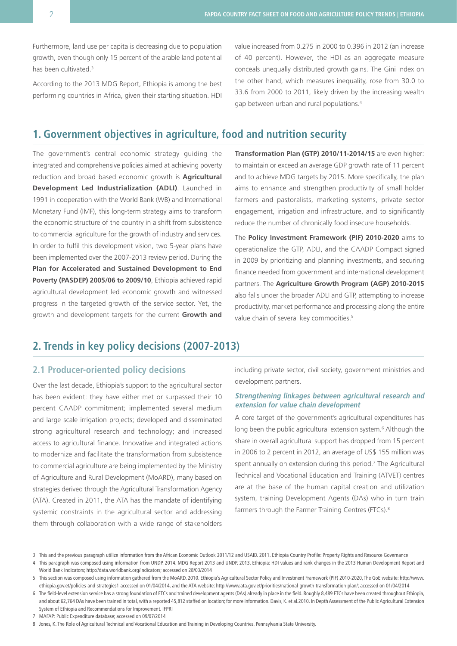Furthermore, land use per capita is decreasing due to population growth, even though only 15 percent of the arable land potential has been cultivated.<sup>3</sup>

According to the 2013 MDG Report, Ethiopia is among the best performing countries in Africa, given their starting situation. HDI value increased from 0.275 in 2000 to 0.396 in 2012 (an increase of 40 percent). However, the HDI as an aggregate measure conceals unequally distributed growth gains. The Gini index on the other hand, which measures inequality, rose from 30.0 to 33.6 from 2000 to 2011, likely driven by the increasing wealth gap between urban and rural populations.<sup>4</sup>

# **1. Government objectives in agriculture, food and nutrition security**

The government's central economic strategy guiding the integrated and comprehensive policies aimed at achieving poverty reduction and broad based economic growth is **Agricultural Development Led Industrialization (ADLI)**. Launched in 1991 in cooperation with the World Bank (WB) and International Monetary Fund (IMF), this long-term strategy aims to transform the economic structure of the country in a shift from subsistence to commercial agriculture for the growth of industry and services. In order to fulfil this development vision, two 5-year plans have been implemented over the 2007-2013 review period. During the **Plan for Accelerated and Sustained Development to End Poverty (PASDEP) 2005/06 to 2009/10**, Ethiopia achieved rapid agricultural development led economic growth and witnessed progress in the targeted growth of the service sector. Yet, the growth and development targets for the current **Growth and**  **Transformation Plan (GTP) 2010/11-2014/15** are even higher: to maintain or exceed an average GDP growth rate of 11 percent and to achieve MDG targets by 2015. More specifically, the plan aims to enhance and strengthen productivity of small holder farmers and pastoralists, marketing systems, private sector engagement, irrigation and infrastructure, and to significantly reduce the number of chronically food insecure households.

The **Policy Investment Framework (PIF) 2010-2020** aims to operationalize the GTP, ADLI, and the CAADP Compact signed in 2009 by prioritizing and planning investments, and securing finance needed from government and international development partners. The **Agriculture Growth Program (AGP) 2010-2015** also falls under the broader ADLI and GTP, attempting to increase productivity, market performance and processing along the entire value chain of several key commodities.<sup>5</sup>

# **2. Trends in key policy decisions (2007-2013)**

# **2.1 Producer-oriented policy decisions**

Over the last decade, Ethiopia's support to the agricultural sector has been evident: they have either met or surpassed their 10 percent CAADP commitment; implemented several medium and large scale irrigation projects; developed and disseminated strong agricultural research and technology; and increased access to agricultural finance. Innovative and integrated actions to modernize and facilitate the transformation from subsistence to commercial agriculture are being implemented by the Ministry of Agriculture and Rural Development (MoARD), many based on strategies derived through the Agricultural Transformation Agency (ATA). Created in 2011, the ATA has the mandate of identifying systemic constraints in the agricultural sector and addressing them through collaboration with a wide range of stakeholders

including private sector, civil society, government ministries and development partners.

#### **Strengthening linkages between agricultural research and extension for value chain development**

A core target of the government's agricultural expenditures has long been the public agricultural extension system.<sup>6</sup> Although the share in overall agricultural support has dropped from 15 percent in 2006 to 2 percent in 2012, an average of US\$ 155 million was spent annually on extension during this period.<sup>7</sup> The Agricultural Technical and Vocational Education and Training (ATVET) centres are at the base of the human capital creation and utilization system, training Development Agents (DAs) who in turn train farmers through the Farmer Training Centres (FTCs).<sup>8</sup>

7 [MAFAP: Public Expenditure](http://www.fao.org/mafap/database/public-expenditure/en/) database; accessed on 09/07/2014

<sup>3</sup> This and the previous paragraph utilize information from the African Economic Outlook 2011/12 and [USAID. 2011. Ethiopia Country Profile: Property Rights and Resource Governance](http://theredddesk.org/sites/default/files/resources/pdf/USAID_Land_Tenure_Ethiopia_Profile.pdf)

<sup>4</sup> This paragraph was composed using information from [UNDP. 2014. MDG Report 2013](http://www.undp.org/content/dam/undp/library/MDG/english/MDG Regional Reports/Africa/MDG report 2013 summary_EN.pdf) and [UNDP. 2013. Ethiopia: HDI values and rank changes in the 2013 Human Development Report](http://hdr.undp.org/sites/default/files/Country-Profiles/ETH.pdf) and World Bank Indicators; http://data.worldbank.org/indicators; accessed on 28/03/2014

<sup>5</sup> This section was composed using information gathered from the [MoARD. 2010. Ethiopia's Agricultural Sector Policy and Investment Framework \(PIF\) 2010-2020](http://www.caadp.net/pdf/Ethiopia Post-Compact Investment Plan.pdf), The GoE website: [http://www.](http://www.ethiopia.gov.et/policies-and-strategies1) [ethiopia.gov.et/policies-and-strategies1](http://www.ethiopia.gov.et/policies-and-strategies1) accessed on 01/04/2014, and the ATA website: <http://www.ata.gov.et/priorities/national-growth-transformation-plan/>; accessed on 01/04/2014

<sup>6</sup> The field-level extension service has a strong foundation of FTCs and trained development agents (DAs) already in place in the field. Roughly 8,489 FTCs have been created throughout Ethiopia, and about 62,764 DAs have been trained in total, with a reported 45,812 staffed on location; for more information. Davis, K. et al.2010. In Depth Assessment of the Public Agricultural Extension [System of Ethiopia and Recommendations for Improvement. IFPRI](http://www.ifpri.org/sites/default/files/publications/ifpridp01041.pdf)

<sup>8</sup> Jones, K. The Role of Agricultural Technical and Vocational Education and Training in Developing Countries. Pennsylvania State University.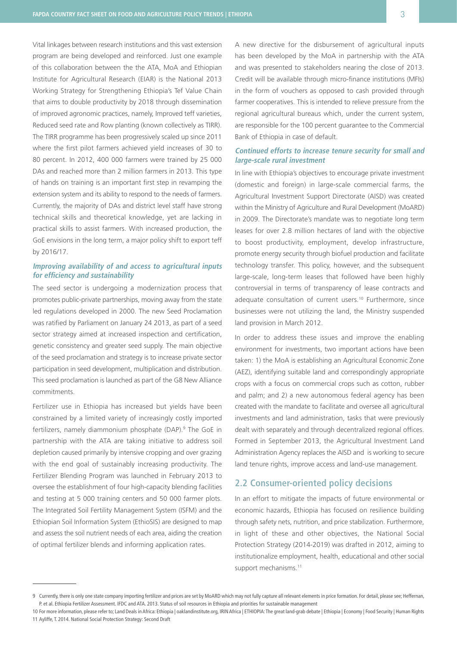Vital linkages between research institutions and this vast extension program are being developed and reinforced. Just one example of this collaboration between the the ATA, MoA and Ethiopian Institute for Agricultural Research (EIAR) is the National 2013 Working Strategy for Strengthening Ethiopia's Tef Value Chain that aims to double productivity by 2018 through dissemination of improved agronomic practices, namely, Improved teff varieties, Reduced seed rate and Row planting (known collectively as TIRR). The TIRR programme has been progressively scaled up since 2011 where the first pilot farmers achieved yield increases of 30 to 80 percent. In 2012, 400 000 farmers were trained by 25 000 DAs and reached more than 2 million farmers in 2013. This type of hands on training is an important first step in revamping the extension system and its ability to respond to the needs of farmers. Currently, the majority of DAs and district level staff have strong technical skills and theoretical knowledge, yet are lacking in practical skills to assist farmers. With increased production, the GoE envisions in the long term, a major policy shift to export teff by 2016/17.

## **Improving availability of and access to agricultural inputs for efficiency and sustainability**

The seed sector is undergoing a modernization process that promotes public-private partnerships, moving away from the state led regulations developed in 2000. The new Seed Proclamation was ratified by Parliament on January 24 2013, as part of a seed sector strategy aimed at increased inspection and certification, genetic consistency and greater seed supply. The main objective of the seed proclamation and strategy is to increase private sector participation in seed development, multiplication and distribution. This seed proclamation is launched as part of the G8 New Alliance commitments.

Fertilizer use in Ethiopia has increased but yields have been constrained by a limited variety of increasingly costly imported fertilizers, namely diammonium phosphate (DAP).9 The GoE in partnership with the ATA are taking initiative to address soil depletion caused primarily by intensive cropping and over grazing with the end goal of sustainably increasing productivity. The Fertilizer Blending Program was launched in February 2013 to oversee the establishment of four high-capacity blending facilities and testing at 5 000 training centers and 50 000 farmer plots. The Integrated Soil Fertility Management System (ISFM) and the Ethiopian Soil Information System (EthioSIS) are designed to map and assess the soil nutrient needs of each area, aiding the creation of optimal fertilizer blends and informing application rates.

A new directive for the disbursement of agricultural inputs has been developed by the MoA in partnership with the ATA and was presented to stakeholders nearing the close of 2013. Credit will be available through micro-finance institutions (MFIs) in the form of vouchers as opposed to cash provided through farmer cooperatives. This is intended to relieve pressure from the regional agricultural bureaus which, under the current system, are responsible for the 100 percent guarantee to the Commercial Bank of Ethiopia in case of default.

## **Continued efforts to increase tenure security for small and large-scale rural investment**

In line with Ethiopia's objectives to encourage private investment (domestic and foreign) in large-scale commercial farms, the Agricultural Investment Support Directorate (AISD) was created within the Ministry of Agriculture and Rural Development (MoARD) in 2009. The Directorate's mandate was to negotiate long term leases for over 2.8 million hectares of land with the objective to boost productivity, employment, develop infrastructure, promote energy security through biofuel production and facilitate technology transfer. This policy, however, and the subsequent large-scale, long-term leases that followed have been highly controversial in terms of transparency of lease contracts and adequate consultation of current users.<sup>10</sup> Furthermore, since businesses were not utilizing the land, the Ministry suspended land provision in March 2012.

In order to address these issues and improve the enabling environment for investments, two important actions have been taken: 1) the MoA is establishing an Agricultural Economic Zone (AEZ), identifying suitable land and correspondingly appropriate crops with a focus on commercial crops such as cotton, rubber and palm; and 2) a new autonomous federal agency has been created with the mandate to facilitate and oversee all agricultural investments and land administration, tasks that were previously dealt with separately and through decentralized regional offices. Formed in September 2013, the Agricultural Investment Land Administration Agency replaces the AISD and is working to secure land tenure rights, improve access and land-use management.

# **2.2 Consumer-oriented policy decisions**

In an effort to mitigate the impacts of future environmental or economic hazards, Ethiopia has focused on resilience building through safety nets, nutrition, and price stabilization. Furthermore, in light of these and other objectives, the National Social Protection Strategy (2014-2019) was drafted in 2012, aiming to institutionalize employment, health, educational and other social support mechanisms.<sup>11</sup>

<sup>9</sup> Currently, there is only one state company importing fertilizer and prices are set by MoARD which may not fully capture all relevant elements in price formation. For detail, please see; [Heffernan,](http://www.ifdc.org/R-D/Research/Ethiopia-Fertilizer-Assessment/)  [P. et al. Ethiopia Fertilizer Assessment. IFDC](http://www.ifdc.org/R-D/Research/Ethiopia-Fertilizer-Assessment/) and ATA. 2013. Status of soil resources in Ethiopia and priorities for sustainable management

<sup>10</sup> For more information, please refer to; [Land Deals in Africa: Ethiopia | oaklandinstitute.org](http://www.oaklandinstitute.org/land-deals-africa-ethiopia), [IRIN Africa | ETHIOPIA: The great land-grab debate | Ethiopia | Economy | Food Security | Human Rights](http://www.irinnews.org/report/92292/ethiopia-the-great-land-grab-debate) 11 Ayliffe, T. 2014. National Social Protection Strategy: Second Draft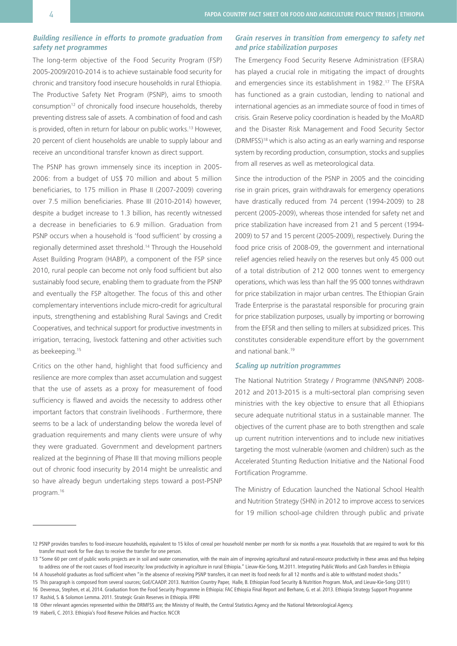## **Building resilience in efforts to promote graduation from safety net programmes**

The long-term objective of the Food Security Program (FSP) 2005-2009/2010-2014 is to achieve sustainable food security for chronic and transitory food insecure households in rural Ethiopia. The Productive Safety Net Program (PSNP), aims to smooth consumption12 of chronically food insecure households, thereby preventing distress sale of assets. A combination of food and cash is provided, often in return for labour on public works.<sup>13</sup> However, 20 percent of client households are unable to supply labour and receive an unconditional transfer known as direct support.

The PSNP has grown immensely since its inception in 2005- 2006: from a budget of US\$ 70 million and about 5 million beneficiaries, to 175 million in Phase II (2007-2009) covering over 7.5 million beneficiaries. Phase III (2010-2014) however, despite a budget increase to 1.3 billion, has recently witnessed a decrease in beneficiaries to 6.9 million. Graduation from PSNP occurs when a household is 'food sufficient' by crossing a regionally determined asset threshold.14 Through the Household Asset Building Program (HABP), a component of the FSP since 2010, rural people can become not only food sufficient but also sustainably food secure, enabling them to graduate from the PSNP and eventually the FSP altogether. The focus of this and other complementary interventions include micro-credit for agricultural inputs, strengthening and establishing Rural Savings and Credit Cooperatives, and technical support for productive investments in irrigation, terracing, livestock fattening and other activities such as beekeeping.15

Critics on the other hand, highlight that food sufficiency and resilience are more complex than asset accumulation and suggest that the use of assets as a proxy for measurement of food sufficiency is flawed and avoids the necessity to address other important factors that constrain livelihoods . Furthermore, there seems to be a lack of understanding below the woreda level of graduation requirements and many clients were unsure of why they were graduated. Government and development partners realized at the beginning of Phase III that moving millions people out of chronic food insecurity by 2014 might be unrealistic and so have already begun undertaking steps toward a post-PSNP program.16

#### **Grain reserves in transition from emergency to safety net and price stabilization purposes**

The Emergency Food Security Reserve Administration (EFSRA) has played a crucial role in mitigating the impact of droughts and emergencies since its establishment in 1982.17 The EFSRA has functioned as a grain custodian, lending to national and international agencies as an immediate source of food in times of crisis. Grain Reserve policy coordination is headed by the MoARD and the Disaster Risk Management and Food Security Sector (DRMFSS)18 which is also acting as an early warning and response system by recording production, consumption, stocks and supplies from all reserves as well as meteorological data.

Since the introduction of the PSNP in 2005 and the coinciding rise in grain prices, grain withdrawals for emergency operations have drastically reduced from 74 percent (1994-2009) to 28 percent (2005-2009), whereas those intended for safety net and price stabilization have increased from 21 and 5 percent (1994- 2009) to 57 and 15 percent (2005-2009), respectively. During the food price crisis of 2008-09, the government and international relief agencies relied heavily on the reserves but only 45 000 out of a total distribution of 212 000 tonnes went to emergency operations, which was less than half the 95 000 tonnes withdrawn for price stabilization in major urban centres. The Ethiopian Grain Trade Enterprise is the parastatal responsible for procuring grain for price stabilization purposes, usually by importing or borrowing from the EFSR and then selling to millers at subsidized prices. This constitutes considerable expenditure effort by the government and national bank.19

### **Scaling up nutrition programmes**

The National Nutrition Strategy / Programme (NNS/NNP) 2008- 2012 and 2013-2015 is a multi-sectoral plan comprising seven ministries with the key objective to ensure that all Ethiopians secure adequate nutritional status in a sustainable manner. The objectives of the current phase are to both strengthen and scale up current nutrition interventions and to include new initiatives targeting the most vulnerable (women and children) such as the Accelerated Stunting Reduction Initiative and the National Food Fortification Programme.

The Ministry of Education launched the National School Health and Nutrition Strategy (SHN) in 2012 to improve access to services for 19 million school-age children through public and private

<sup>12</sup> PSNP provides transfers to food-insecure households, equivalent to 15 kilos of cereal per household member per month for six months a year. Households that are required to work for this transfer must work for five days to receive the transfer for one person.

<sup>13 &</sup>quot;Some 60 per cent of public works projects are in soil and water conservation, with the main aim of improving agricultural and natural-resource productivity in these areas and thus helping to address one of the root causes of food insecurity: low productivity in agriculture in rural Ethiopia." [Lieuw-Kie-Song, M.2011. Integrating Public Works and Cash Transfers in Ethiopia](http://www.ipc-undp.org/pub/IPCWorkingPaper84.pdf)

<sup>14</sup> A household graduates as food sufficient when "in the absence of receiving PSNP transfers, it can meet its food needs for all 12 months and is able to withstand modest shocks." 15 This paragraph is composed from several sources; [GoE/CAADP. 2013. Nutrition Country Paper,](http://www.fao.org/fileadmin/user_upload/wa_workshop/ECAfrica-caadp/Ethiopia_NCP_190213.pdf) [Halle, B. Ethiopian Food Security & Nutrition Program. MoA](http://www.fao.org/fileadmin/user_upload/wa_workshop/ECAfrica-caadp/4._Food_Security___Nutrition_program_Ethiopia_MoA.pdf), and Lieuw-Kie-Song (2011)

<sup>16</sup> [Devereux, Stephen, et al, 2014. Graduation from the Food Security Programme in Ethiopia: FAC Ethiopia Final Report](http://essp.ifpri.info/files/2013/05/ESSPII_EDRI_Report_PSNP.pdf) and Berhane, G. et al. 2013. Ethiopia Strategy Support Programme

<sup>17</sup> [Rashid, S. & Solomon Lemma. 2011. Strategic Grain Reserves in Ethiopia. IFPRI](http://www.ifpri.org/sites/default/files/publications/ifpridp01054.pdf)

<sup>18</sup> Other relevant agencies represented within the DRMFSS are; the Ministry of Health, the Central Statistics Agency and the National Meteorological Agency.

<sup>19</sup> [Haberli, C. 2013. Ethiopia's Food Reserve Policies and Practice. NCCR](http://www.wti.org/fileadmin/user_upload/nccr-trade.ch/wp4/publications/NCCR_WP_2013_2_Ethiopia.pdf)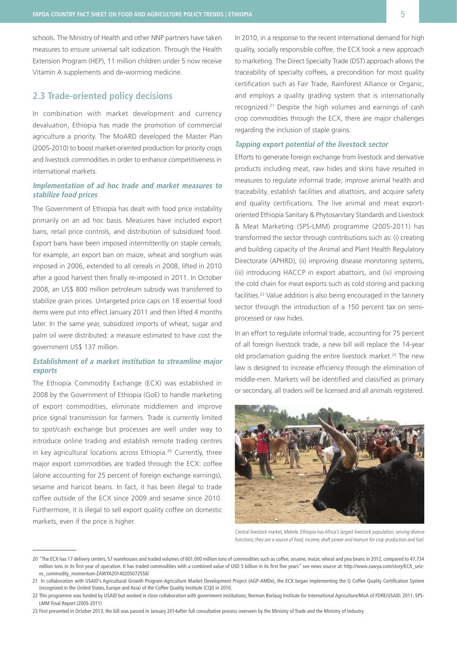schools. The Ministry of Health and other NNP partners have taken measures to ensure universal salt iodization. Through the Health Extension Program (HEP), 11 million children under 5 now receive Vitamin A supplements and de-worming medicine.

# **2.3 Trade-oriented policy decisions**

In combination with market development and currency devaluation, Ethiopia has made the promotion of commercial agriculture a priority. The MoARD developed the Master Plan (2005-2010) to boost market-oriented production for priority crops and livestock commodities in order to enhance competitiveness in international markets.

### **Implementation of ad hoc trade and market measures to stabilize food prices**

The Government of Ethiopia has dealt with food price instability primarily on an ad hoc basis. Measures have included export bans, retail price controls, and distribution of subsidized food. Export bans have been imposed intermittently on staple cereals; for example, an export ban on maize, wheat and sorghum was imposed in 2006, extended to all cereals in 2008, lifted in 2010 after a good harvest then finally re-imposed in 2011. In October 2008, an US\$ 800 million petroleum subsidy was transferred to stabilize grain prices. Untargeted price caps on 18 essential food items were put into effect January 2011 and then lifted 4 months later. In the same year, subsidized imports of wheat, sugar and palm oil were distributed: a measure estimated to have cost the government US\$ 137 million.

## **Establishment of a market institution to streamline major exports**

The Ethiopia Commodity Exchange (ECX) was established in 2008 by the Government of Ethiopia (GoE) to handle marketing of export commodities, eliminate middlemen and improve price signal transmission for farmers. Trade is currently limited to spot/cash exchange but processes are well under way to introduce online trading and establish remote trading centres in key agricultural locations across Ethiopia.20 Currently, three major export commodities are traded through the ECX: coffee (alone accounting for 25 percent of foreign exchange earnings), sesame and haricot beans. In fact, it has been illegal to trade coffee outside of the ECX since 2009 and sesame since 2010. Furthermore, it is illegal to sell export quality coffee on domestic markets, even if the price is higher.

In 2010, in a response to the recent international demand for high quality, socially responsible coffee, the ECX took a new approach to marketing. The Direct Specialty Trade (DST) approach allows the traceability of specialty coffees, a precondition for most quality certification such as Fair Trade, Rainforest Alliance or Organic, and employs a quality grading system that is internationally recognized.21 Despite the high volumes and earnings of cash crop commodities through the ECX, there are major challenges regarding the inclusion of staple grains.

### **Tapping export potential of the livestock sector**

Efforts to generate foreign exchange from livestock and derivative products including meat, raw hides and skins have resulted in measures to regulate informal trade, improve animal health and traceability, establish facilities and abattoirs, and acquire safety and quality certifications. The live animal and meat exportoriented Ethiopia Sanitary & Phytosanitary Standards and Livestock & Meat Marketing (SPS-LMM) programme (2005-2011) has transformed the sector through contributions such as: (i) creating and building capacity of the Animal and Plant Health Regulatory Directorate (APHRD), (ii) improving disease monitoring systems, (iii) introducing HACCP in export abattoirs, and (iv) improving the cold chain for meat exports such as cold storing and packing facilities.22 Value addition is also being encouraged in the tannery sector through the introduction of a 150 percent tax on semiprocessed or raw hides.

In an effort to regulate informal trade, accounting for 75 percent of all foreign livestock trade, a new bill will replace the 14-year old proclamation guiding the entire livestock market.<sup>23</sup> The new law is designed to increase efficiency through the elimination of middle-men. Markets will be identified and classified as primary or secondary, all traders will be licensed and all animals registered.



Central livestock market, Mekele. Ethiopia has Africa's largest livestock population, serving diverse functions; they are a source of food, income, draft power and manure for crop production and fuel.

<sup>20</sup> "The ECX has 17 delivery centers, 57 warehouses and traded volumes of 601,000 million tons of commodities such as coffee, sesame, maize, wheat and pea beans in 2012, compared to 47,734 million tons in its first year of operation. It has traded commodities with a combined value of USD 5 billion in its first five years" see news source at: [http://www.zawya.com/story/ECX\\_seiz](http://www.zawya.com/story/ECX_seizes_commodity_momentum-ZAWYA20140205072558/)[es\\_commodity\\_momentum-ZAWYA20140205072558/](http://www.zawya.com/story/ECX_seizes_commodity_momentum-ZAWYA20140205072558/)

<sup>21</sup> In collaboration with USAID's Agricultural Growth Program-Agriculture Market Development Project (AGP-AMDe), the ECX began implementing the Q Coffee Quality Certification System (recognized in the United States, Europe and Asia) of the Coffee Quality Institute (CQI) in 2010.

<sup>22</sup> This programme was funded by USAID but worked in close collaboration with government institutions; [Norman Borlaug Institute for International Agriculture/MoA of FDRE/USAID. 2011. SPS-](http://borlaug.tamu.edu/files/2012/03/SPS-LMM-Final-Report-FINAL-VERSION-6Dec-2011.pdf)[LMM Final Report \(2005-2011\)](http://borlaug.tamu.edu/files/2012/03/SPS-LMM-Final-Report-FINAL-VERSION-6Dec-2011.pdf) 

<sup>23</sup> First presented in October 2013, the bill was passed in January 2014after full consultative process overseen by the Ministry of Trade and the Ministry of Industry.